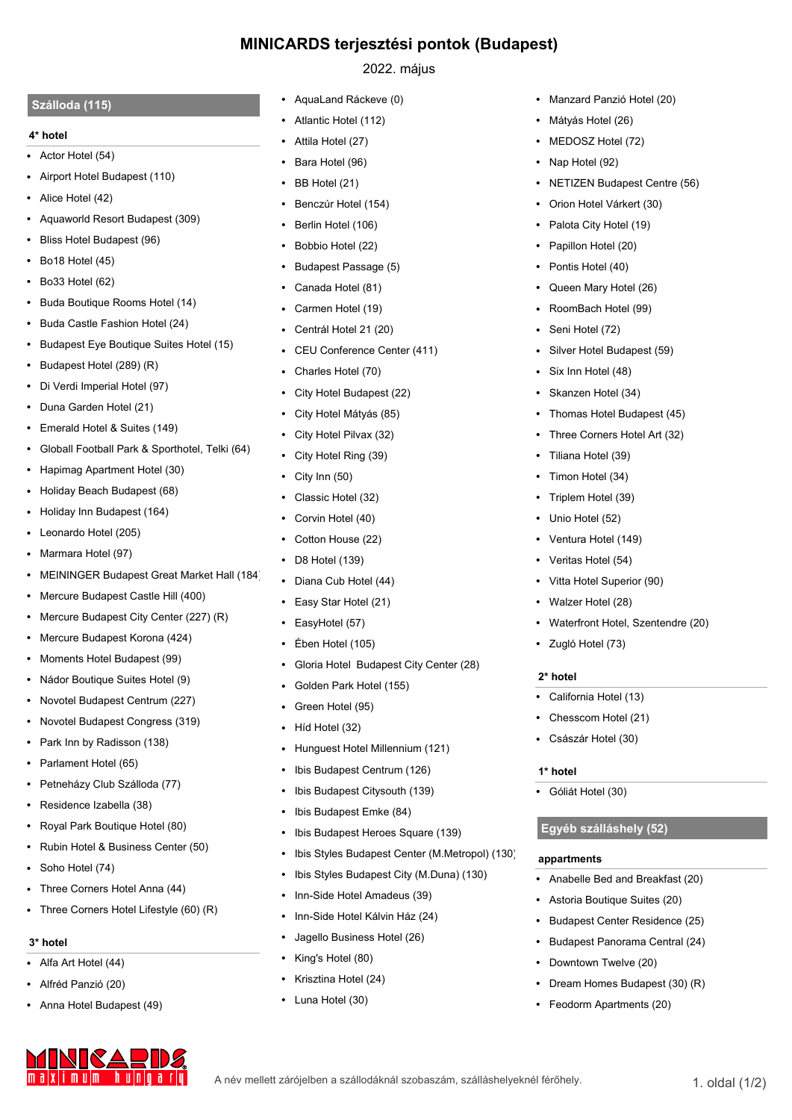# **MINICARDS terjesztési pontok (Budapest)**

## **Szálloda (115)**

### **4\* hotel**

- **•** Actor Hotel (54)
- **•** Airport Hotel Budapest (110)
- **•** Alice Hotel (42)
- **•** Aquaworld Resort Budapest (309)
- **•** Bliss Hotel Budapest (96)
- **•** Bo18 Hotel (45)
- **•** Bo33 Hotel (62)
- **•** Buda Boutique Rooms Hotel (14)
- **•** Buda Castle Fashion Hotel (24)
- **•** Budapest Eye Boutique Suites Hotel (15)
- **•** Budapest Hotel (289) (R)
- **•** Di Verdi Imperial Hotel (97)
- **•** Duna Garden Hotel (21)
- **•** Emerald Hotel & Suites (149)
- **•** Globall Football Park & Sporthotel, Telki (64)
- **•** Hapimag Apartment Hotel (30)
- **•** Holiday Beach Budapest (68)
- **•** Holiday Inn Budapest (164)
- **•** Leonardo Hotel (205)
- **•** Marmara Hotel (97)
- **•** MEININGER Budapest Great Market Hall (184)
- **•** Mercure Budapest Castle Hill (400)
- **•** Mercure Budapest City Center (227) (R)
- **•** Mercure Budapest Korona (424)
- **•** Moments Hotel Budapest (99)
- **•** Nádor Boutique Suites Hotel (9)
- **•** Novotel Budapest Centrum (227)
- **•** Novotel Budapest Congress (319)
- **•** Park Inn by Radisson (138)
- **•** Parlament Hotel (65)
- **•** Petneházy Club Szálloda (77)
- **•** Residence Izabella (38)
- **•** Royal Park Boutique Hotel (80)
- **•** Rubin Hotel & Business Center (50)
- **•** Soho Hotel (74)
- **•** Three Corners Hotel Anna (44)
- **•** Three Corners Hotel Lifestyle (60) (R)

## **3\* hotel**

- **•** Alfa Art Hotel (44)
- **•** Alfréd Panzió (20)
- **•** Anna Hotel Budapest (49)

<u>MINICARIDA</u>

# 2022. május

- **•** AquaLand Ráckeve (0)
- **•** Atlantic Hotel (112)
- **•** Attila Hotel (27)
- **•** Bara Hotel (96)
- **•** BB Hotel (21)
- **•** Benczúr Hotel (154)
- **•** Berlin Hotel (106)
- **•** Bobbio Hotel (22)
- **•** Budapest Passage (5)
- **•** Canada Hotel (81)
- **•** Carmen Hotel (19)
- **•** Centrál Hotel 21 (20)
- **•** CEU Conference Center (411)
- **•** Charles Hotel (70)
- **•** City Hotel Budapest (22)
- **•** City Hotel Mátyás (85)
- **•** City Hotel Pilvax (32)
- **•** City Hotel Ring (39)
- **•** City Inn (50)
- **•** Classic Hotel (32)
- **•** Corvin Hotel (40)
- **•** Cotton House (22)
- **•** D8 Hotel (139)
- **•** Diana Cub Hotel (44)
- **•** Easy Star Hotel (21)
- **•** EasyHotel (57)
- **•** Ében Hotel (105)
- **•** Gloria Hotel Budapest City Center (28)
- **•** Golden Park Hotel (155)
- **•** Green Hotel (95)
- **•** Híd Hotel (32)
- **•** Hunguest Hotel Millennium (121)
- **•** Ibis Budapest Centrum (126)
- **•** Ibis Budapest Citysouth (139)
- **•** Ibis Budapest Emke (84)
- **•** Ibis Budapest Heroes Square (139)
- **•** Ibis Styles Budapest Center (M.Metropol) (130)
- **•** Ibis Styles Budapest City (M.Duna) (130)
- **•** Inn-Side Hotel Amadeus (39)
- **•** Inn-Side Hotel Kálvin Ház (24)
- **•** Jagello Business Hotel (26)
- **•** King's Hotel (80)
- **•** Krisztina Hotel (24)
- **•** Luna Hotel (30)
- **•** Manzard Panzió Hotel (20)
- **•** Mátyás Hotel (26)
- **•** MEDOSZ Hotel (72)
- **•** Nap Hotel (92)
- **•** NETIZEN Budapest Centre (56)
- **•** Orion Hotel Várkert (30)
- **•** Palota City Hotel (19)
- **•** Papillon Hotel (20)
- **•** Pontis Hotel (40)
- **•** Queen Mary Hotel (26)
- **•** RoomBach Hotel (99)

**•** Silver Hotel Budapest (59)

**•** Thomas Hotel Budapest (45) **•** Three Corners Hotel Art (32)

**•** Waterfront Hotel, Szentendre (20)

**•** Seni Hotel (72)

**•** Six Inn Hotel (48) **•** Skanzen Hotel (34)

**•** Tiliana Hotel (39) **•** Timon Hotel (34) **•** Triplem Hotel (39) **•** Unio Hotel (52) **•** Ventura Hotel (149) **•** Veritas Hotel (54) **•** Vitta Hotel Superior (90) **•** Walzer Hotel (28)

**•** Zugló Hotel (73)

**•** California Hotel (13) **•** Chesscom Hotel (21) **•** Császár Hotel (30)

**2\* hotel**

**1\* hotel**

**•** Góliát Hotel (30)

**appartments**

A név mellett zárójelben a szállodáknál szobaszám, szálláshelyeknél férőhely.<br>
1. oldal (1/2)

**Egyéb szálláshely (52)**

**•** Downtown Twelve (20)

**•** Feodorm Apartments (20)

**•** Dream Homes Budapest (30) (R)

**•** Anabelle Bed and Breakfast (20) **•** Astoria Boutique Suites (20) **•** Budapest Center Residence (25) **•** Budapest Panorama Central (24)